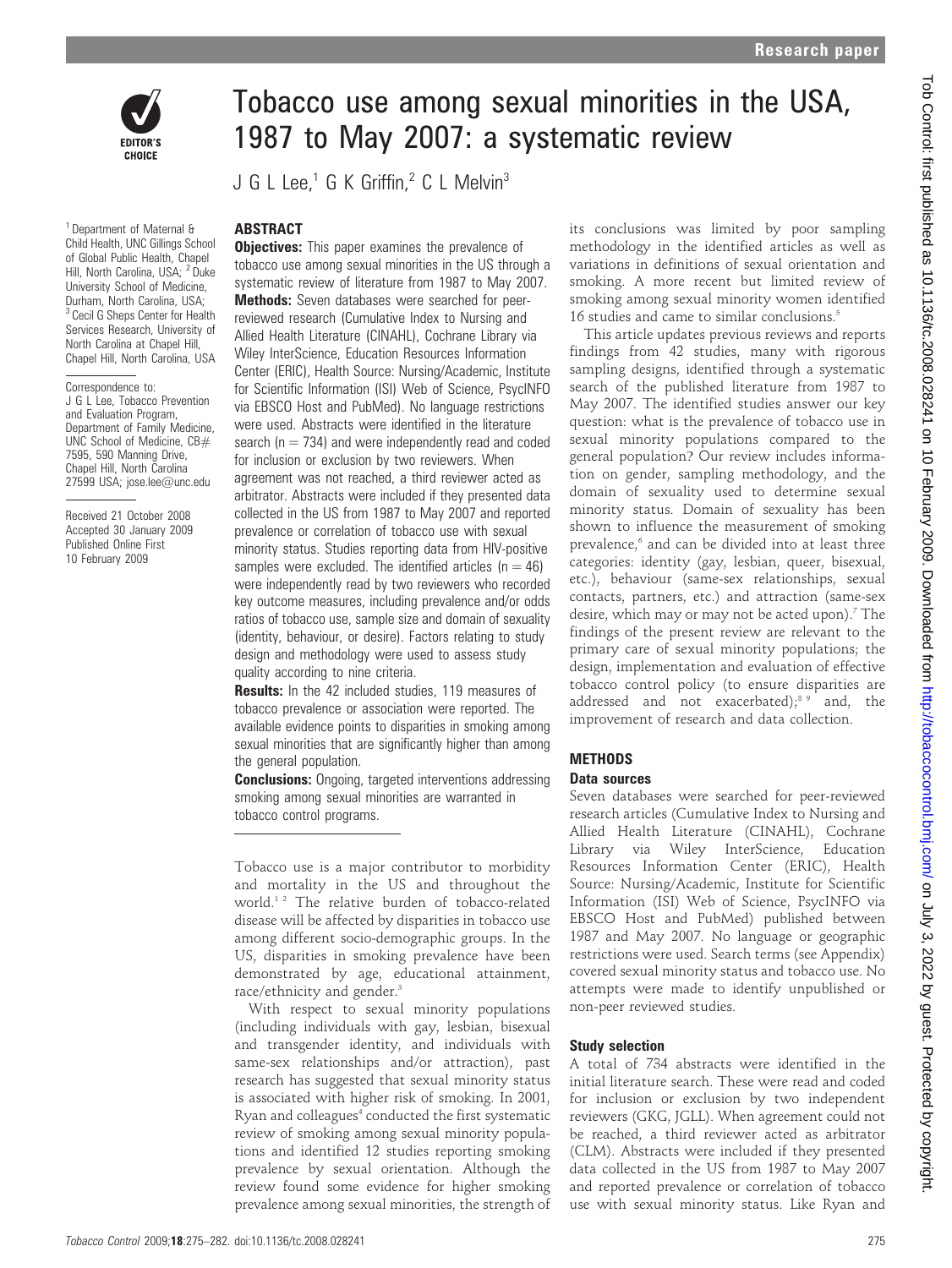

<sup>1</sup> Department of Maternal & Child Health, UNC Gillings School of Global Public Health, Chapel Hill, North Carolina, USA; <sup>2</sup> Duke University School of Medicine, Durham, North Carolina, USA; <sup>3</sup> Cecil G Sheps Center for Health Services Research, University of North Carolina at Chapel Hill, Chapel Hill, North Carolina, USA

#### Correspondence to:

J G L Lee, Tobacco Prevention and Evaluation Program, Department of Family Medicine, UNC School of Medicine, CB# 7595, 590 Manning Drive, Chapel Hill, North Carolina 27599 USA; jose.lee@unc.edu

Received 21 October 2008 Accepted 30 January 2009 Published Online First 10 February 2009

# Tobacco use among sexual minorities in the USA, 1987 to May 2007: a systematic review

J G L Lee.<sup>1</sup> G K Griffin.<sup>2</sup> C L Melvin<sup>3</sup>

## ABSTRACT

**Objectives:** This paper examines the prevalence of tobacco use among sexual minorities in the US through a systematic review of literature from 1987 to May 2007. Methods: Seven databases were searched for peerreviewed research (Cumulative Index to Nursing and Allied Health Literature (CINAHL), Cochrane Library via Wiley InterScience, Education Resources Information Center (ERIC), Health Source: Nursing/Academic, Institute for Scientific Information (ISI) Web of Science, PsycINFO via EBSCO Host and PubMed). No language restrictions were used. Abstracts were identified in the literature search ( $n = 734$ ) and were independently read and coded for inclusion or exclusion by two reviewers. When agreement was not reached, a third reviewer acted as arbitrator. Abstracts were included if they presented data collected in the US from 1987 to May 2007 and reported prevalence or correlation of tobacco use with sexual minority status. Studies reporting data from HIV-positive samples were excluded. The identified articles  $(n = 46)$ were independently read by two reviewers who recorded key outcome measures, including prevalence and/or odds ratios of tobacco use, sample size and domain of sexuality (identity, behaviour, or desire). Factors relating to study design and methodology were used to assess study quality according to nine criteria.

Results: In the 42 included studies, 119 measures of tobacco prevalence or association were reported. The available evidence points to disparities in smoking among sexual minorities that are significantly higher than among the general population.

**Conclusions:** Ongoing, targeted interventions addressing smoking among sexual minorities are warranted in tobacco control programs.

Tobacco use is a major contributor to morbidity and mortality in the US and throughout the world.1 2 The relative burden of tobacco-related disease will be affected by disparities in tobacco use among different socio-demographic groups. In the US, disparities in smoking prevalence have been demonstrated by age, educational attainment, race/ethnicity and gender.<sup>3</sup>

With respect to sexual minority populations (including individuals with gay, lesbian, bisexual and transgender identity, and individuals with same-sex relationships and/or attraction), past research has suggested that sexual minority status is associated with higher risk of smoking. In 2001, Ryan and colleagues<sup>4</sup> conducted the first systematic review of smoking among sexual minority populations and identified 12 studies reporting smoking prevalence by sexual orientation. Although the review found some evidence for higher smoking prevalence among sexual minorities, the strength of its conclusions was limited by poor sampling methodology in the identified articles as well as variations in definitions of sexual orientation and smoking. A more recent but limited review of smoking among sexual minority women identified 16 studies and came to similar conclusions.<sup>5</sup>

This article updates previous reviews and reports findings from 42 studies, many with rigorous sampling designs, identified through a systematic search of the published literature from 1987 to May 2007. The identified studies answer our key question: what is the prevalence of tobacco use in sexual minority populations compared to the general population? Our review includes information on gender, sampling methodology, and the domain of sexuality used to determine sexual minority status. Domain of sexuality has been shown to influence the measurement of smoking prevalence,<sup>6</sup> and can be divided into at least three categories: identity (gay, lesbian, queer, bisexual, etc.), behaviour (same-sex relationships, sexual contacts, partners, etc.) and attraction (same-sex desire, which may or may not be acted upon).<sup>7</sup> The findings of the present review are relevant to the primary care of sexual minority populations; the design, implementation and evaluation of effective tobacco control policy (to ensure disparities are addressed and not exacerbated);<sup>8,9</sup> and, the improvement of research and data collection.

#### **METHODS**

#### Data sources

Seven databases were searched for peer-reviewed research articles (Cumulative Index to Nursing and Allied Health Literature (CINAHL), Cochrane Library via Wiley InterScience, Education Resources Information Center (ERIC), Health Source: Nursing/Academic, Institute for Scientific Information (ISI) Web of Science, PsycINFO via EBSCO Host and PubMed) published between 1987 and May 2007. No language or geographic restrictions were used. Search terms (see Appendix) covered sexual minority status and tobacco use. No attempts were made to identify unpublished or non-peer reviewed studies.

#### Study selection

A total of 734 abstracts were identified in the initial literature search. These were read and coded for inclusion or exclusion by two independent reviewers (GKG, JGLL). When agreement could not be reached, a third reviewer acted as arbitrator (CLM). Abstracts were included if they presented data collected in the US from 1987 to May 2007 and reported prevalence or correlation of tobacco use with sexual minority status. Like Ryan and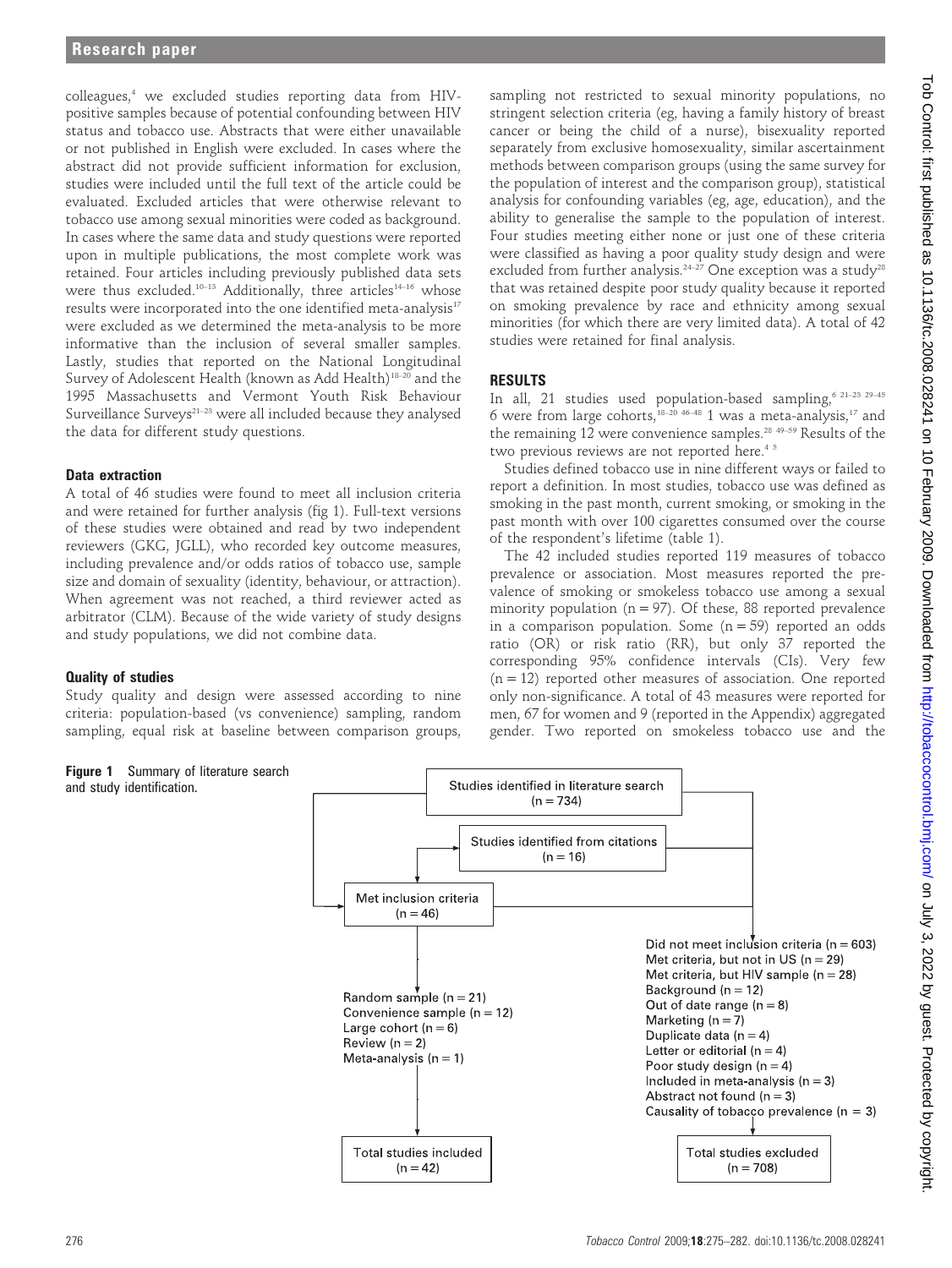colleagues,4 we excluded studies reporting data from HIVpositive samples because of potential confounding between HIV status and tobacco use. Abstracts that were either unavailable or not published in English were excluded. In cases where the abstract did not provide sufficient information for exclusion, studies were included until the full text of the article could be evaluated. Excluded articles that were otherwise relevant to tobacco use among sexual minorities were coded as background. In cases where the same data and study questions were reported upon in multiple publications, the most complete work was retained. Four articles including previously published data sets were thus excluded.<sup>10–13</sup> Additionally, three articles<sup>14–16</sup> whose results were incorporated into the one identified meta-analysis<sup>17</sup> were excluded as we determined the meta-analysis to be more informative than the inclusion of several smaller samples. Lastly, studies that reported on the National Longitudinal Survey of Adolescent Health (known as Add Health)<sup>18-20</sup> and the 1995 Massachusetts and Vermont Youth Risk Behaviour Surveillance Surveys<sup>21-23</sup> were all included because they analysed the data for different study questions.

# Data extraction

A total of 46 studies were found to meet all inclusion criteria and were retained for further analysis (fig 1). Full-text versions of these studies were obtained and read by two independent reviewers (GKG, JGLL), who recorded key outcome measures, including prevalence and/or odds ratios of tobacco use, sample size and domain of sexuality (identity, behaviour, or attraction). When agreement was not reached, a third reviewer acted as arbitrator (CLM). Because of the wide variety of study designs and study populations, we did not combine data.

## Quality of studies

Study quality and design were assessed according to nine criteria: population-based (vs convenience) sampling, random sampling, equal risk at baseline between comparison groups,

sampling not restricted to sexual minority populations, no stringent selection criteria (eg, having a family history of breast cancer or being the child of a nurse), bisexuality reported separately from exclusive homosexuality, similar ascertainment methods between comparison groups (using the same survey for the population of interest and the comparison group), statistical analysis for confounding variables (eg, age, education), and the ability to generalise the sample to the population of interest. Four studies meeting either none or just one of these criteria were classified as having a poor quality study design and were excluded from further analysis.<sup>24-27</sup> One exception was a study<sup>28</sup> that was retained despite poor study quality because it reported on smoking prevalence by race and ethnicity among sexual minorities (for which there are very limited data). A total of 42 studies were retained for final analysis.

# RESULTS

In all, 21 studies used population-based sampling,  $621-232$   $29-45$ 6 were from large cohorts,<sup>18–20</sup> <sup>46–48</sup> 1 was a meta-analysis,<sup>17</sup> and the remaining  $12$  were convenience samples.<sup>28 49-59</sup> Results of the two previous reviews are not reported here.<sup>45</sup>

Studies defined tobacco use in nine different ways or failed to report a definition. In most studies, tobacco use was defined as smoking in the past month, current smoking, or smoking in the past month with over 100 cigarettes consumed over the course of the respondent's lifetime (table 1).

The 42 included studies reported 119 measures of tobacco prevalence or association. Most measures reported the prevalence of smoking or smokeless tobacco use among a sexual minority population  $(n = 97)$ . Of these, 88 reported prevalence in a comparison population. Some  $(n = 59)$  reported an odds ratio (OR) or risk ratio (RR), but only 37 reported the corresponding 95% confidence intervals (CIs). Very few (n = 12) reported other measures of association. One reported only non-significance. A total of 43 measures were reported for men, 67 for women and 9 (reported in the Appendix) aggregated gender. Two reported on smokeless tobacco use and the

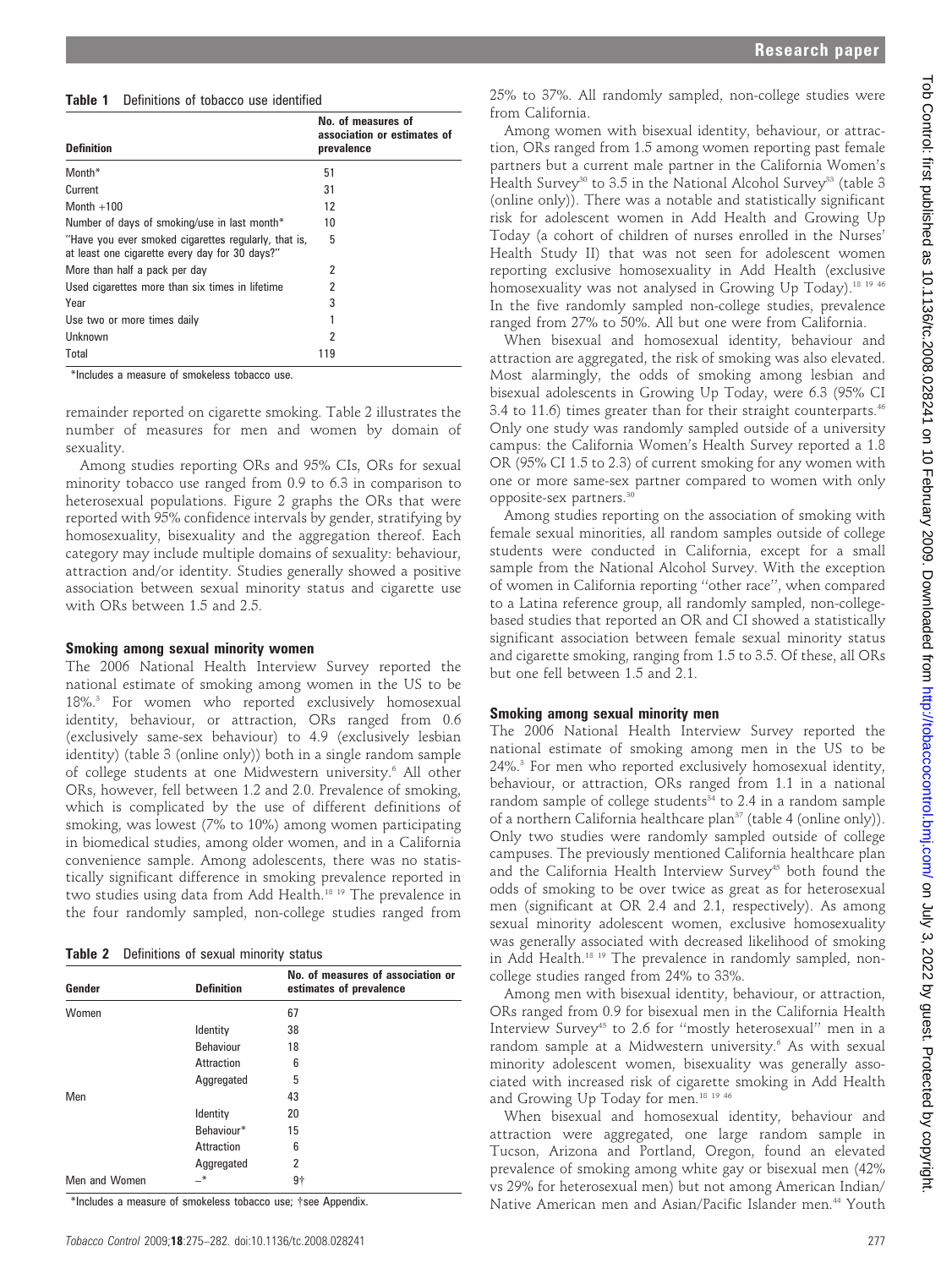## Table 1 Definitions of tobacco use identified

| <b>Definition</b>                                                                                      | No. of measures of<br>association or estimates of<br>prevalence |
|--------------------------------------------------------------------------------------------------------|-----------------------------------------------------------------|
| Month*                                                                                                 | 51                                                              |
| Current                                                                                                | 31                                                              |
| Month $+100$                                                                                           | 12                                                              |
| Number of days of smoking/use in last month*                                                           | 10                                                              |
| "Have you ever smoked cigarettes regularly, that is,<br>at least one cigarette every day for 30 days?" | 5                                                               |
| More than half a pack per day                                                                          | 2                                                               |
| Used cigarettes more than six times in lifetime                                                        | 2                                                               |
| Year                                                                                                   | 3                                                               |
| Use two or more times daily                                                                            |                                                                 |
| Unknown                                                                                                | 2                                                               |
| Total                                                                                                  | 119                                                             |

\*Includes a measure of smokeless tobacco use.

remainder reported on cigarette smoking. Table 2 illustrates the number of measures for men and women by domain of sexuality.

Among studies reporting ORs and 95% CIs, ORs for sexual minority tobacco use ranged from 0.9 to 6.3 in comparison to heterosexual populations. Figure 2 graphs the ORs that were reported with 95% confidence intervals by gender, stratifying by homosexuality, bisexuality and the aggregation thereof. Each category may include multiple domains of sexuality: behaviour, attraction and/or identity. Studies generally showed a positive association between sexual minority status and cigarette use with ORs between 1.5 and 2.5.

## Smoking among sexual minority women

The 2006 National Health Interview Survey reported the national estimate of smoking among women in the US to be 18%.3 For women who reported exclusively homosexual identity, behaviour, or attraction, ORs ranged from 0.6 (exclusively same-sex behaviour) to 4.9 (exclusively lesbian identity) (table 3 (online only)) both in a single random sample of college students at one Midwestern university.6 All other ORs, however, fell between 1.2 and 2.0. Prevalence of smoking, which is complicated by the use of different definitions of smoking, was lowest (7% to 10%) among women participating in biomedical studies, among older women, and in a California convenience sample. Among adolescents, there was no statistically significant difference in smoking prevalence reported in two studies using data from Add Health.18 19 The prevalence in the four randomly sampled, non-college studies ranged from

Table 2 Definitions of sexual minority status

| Gender        | <b>Definition</b> | No. of measures of association or<br>estimates of prevalence |  |  |  |
|---------------|-------------------|--------------------------------------------------------------|--|--|--|
| Women         |                   | 67                                                           |  |  |  |
|               | Identity          | 38                                                           |  |  |  |
|               | Behaviour         | 18                                                           |  |  |  |
|               | Attraction        | 6                                                            |  |  |  |
|               | Aggregated        | 5                                                            |  |  |  |
| Men           |                   | 43                                                           |  |  |  |
|               | Identity          | 20                                                           |  |  |  |
|               | Behaviour*        | 15                                                           |  |  |  |
|               | Attraction        | 6                                                            |  |  |  |
|               | Aggregated        | 2                                                            |  |  |  |
| Men and Women | –*                | 9†                                                           |  |  |  |

\*Includes a measure of smokeless tobacco use; {see Appendix.

25% to 37%. All randomly sampled, non-college studies were from California.

Among women with bisexual identity, behaviour, or attraction, ORs ranged from 1.5 among women reporting past female partners but a current male partner in the California Women's Health Survey<sup>30</sup> to 3.5 in the National Alcohol Survey<sup>33</sup> (table 3) (online only)). There was a notable and statistically significant risk for adolescent women in Add Health and Growing Up Today (a cohort of children of nurses enrolled in the Nurses' Health Study II) that was not seen for adolescent women reporting exclusive homosexuality in Add Health (exclusive homosexuality was not analysed in Growing Up Today).<sup>18 19 46</sup> In the five randomly sampled non-college studies, prevalence ranged from 27% to 50%. All but one were from California.

When bisexual and homosexual identity, behaviour and attraction are aggregated, the risk of smoking was also elevated. Most alarmingly, the odds of smoking among lesbian and bisexual adolescents in Growing Up Today, were 6.3 (95% CI 3.4 to 11.6) times greater than for their straight counterparts.<sup>46</sup> Only one study was randomly sampled outside of a university campus: the California Women's Health Survey reported a 1.8 OR (95% CI 1.5 to 2.3) of current smoking for any women with one or more same-sex partner compared to women with only opposite-sex partners.30

Among studies reporting on the association of smoking with female sexual minorities, all random samples outside of college students were conducted in California, except for a small sample from the National Alcohol Survey. With the exception of women in California reporting ''other race'', when compared to a Latina reference group, all randomly sampled, non-collegebased studies that reported an OR and CI showed a statistically significant association between female sexual minority status and cigarette smoking, ranging from 1.5 to 3.5. Of these, all ORs but one fell between 1.5 and 2.1.

## Smoking among sexual minority men

The 2006 National Health Interview Survey reported the national estimate of smoking among men in the US to be 24%.3 For men who reported exclusively homosexual identity, behaviour, or attraction, ORs ranged from 1.1 in a national random sample of college students $34$  to 2.4 in a random sample of a northern California healthcare plan<sup>37</sup> (table 4 (online only)). Only two studies were randomly sampled outside of college campuses. The previously mentioned California healthcare plan and the California Health Interview Survey<sup>45</sup> both found the odds of smoking to be over twice as great as for heterosexual men (significant at OR 2.4 and 2.1, respectively). As among sexual minority adolescent women, exclusive homosexuality was generally associated with decreased likelihood of smoking in Add Health.<sup>18 19</sup> The prevalence in randomly sampled, noncollege studies ranged from 24% to 33%.

Among men with bisexual identity, behaviour, or attraction, ORs ranged from 0.9 for bisexual men in the California Health Interview Survey45 to 2.6 for ''mostly heterosexual'' men in a random sample at a Midwestern university.<sup>6</sup> As with sexual minority adolescent women, bisexuality was generally associated with increased risk of cigarette smoking in Add Health and Growing Up Today for men.<sup>18 19 46</sup>

When bisexual and homosexual identity, behaviour and attraction were aggregated, one large random sample in Tucson, Arizona and Portland, Oregon, found an elevated prevalence of smoking among white gay or bisexual men (42% vs 29% for heterosexual men) but not among American Indian/ Native American men and Asian/Pacific Islander men.<sup>44</sup> Youth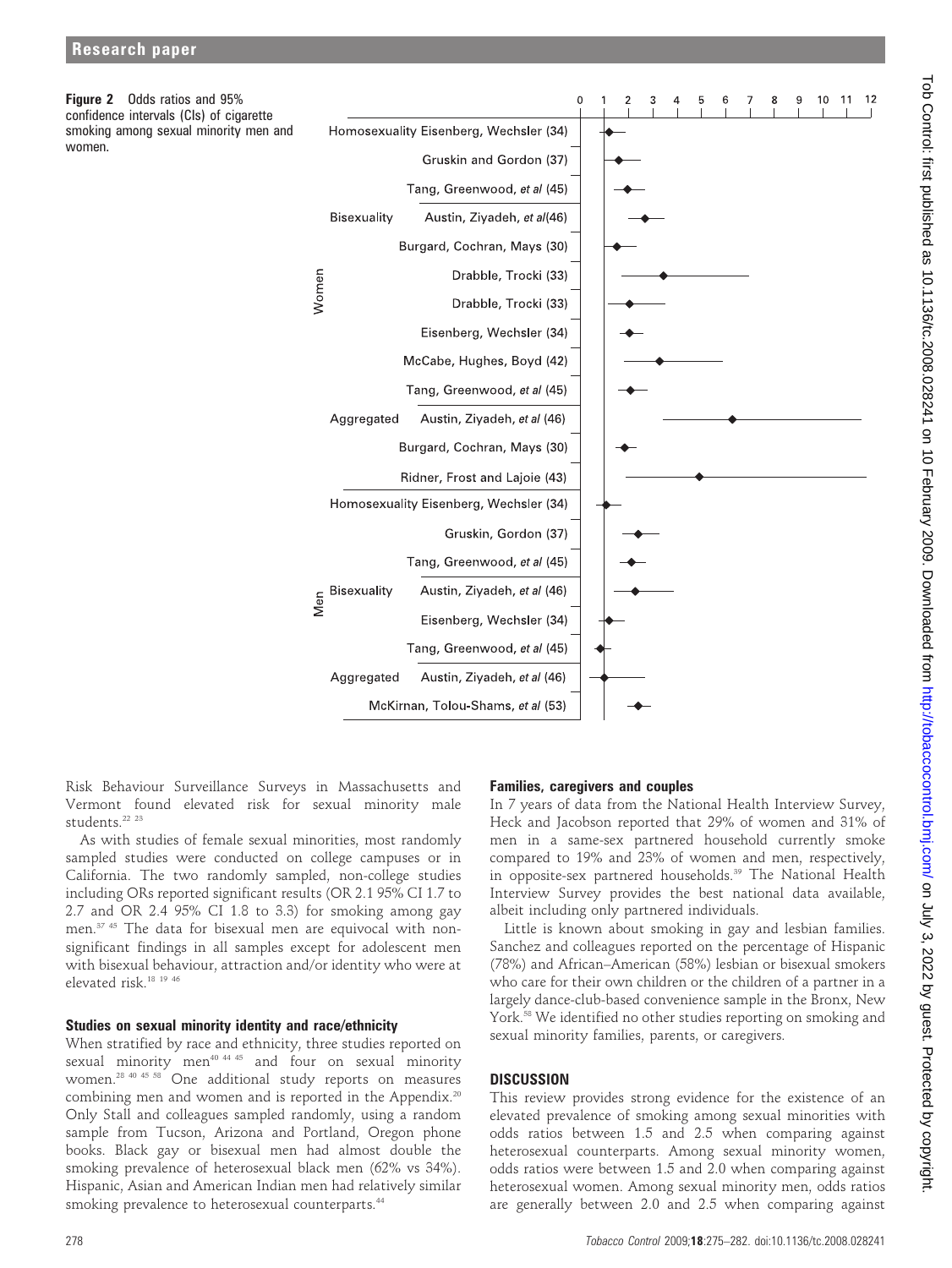women.

Figure 2 Odds ratios and 95%



Risk Behaviour Surveillance Surveys in Massachusetts and Vermont found elevated risk for sexual minority male students<sup>22 23</sup>

As with studies of female sexual minorities, most randomly sampled studies were conducted on college campuses or in California. The two randomly sampled, non-college studies including ORs reported significant results (OR 2.1 95% CI 1.7 to 2.7 and OR 2.4 95% CI 1.8 to 3.3) for smoking among gay men.37 45 The data for bisexual men are equivocal with nonsignificant findings in all samples except for adolescent men with bisexual behaviour, attraction and/or identity who were at elevated risk.18 19 46

#### Studies on sexual minority identity and race/ethnicity

When stratified by race and ethnicity, three studies reported on sexual minority men<sup>40 44 45</sup> and four on sexual minority women.28 40 45 58 One additional study reports on measures combining men and women and is reported in the Appendix.<sup>20</sup> Only Stall and colleagues sampled randomly, using a random sample from Tucson, Arizona and Portland, Oregon phone books. Black gay or bisexual men had almost double the smoking prevalence of heterosexual black men (62% vs 34%). Hispanic, Asian and American Indian men had relatively similar smoking prevalence to heterosexual counterparts.<sup>44</sup>

## Families, caregivers and couples

In 7 years of data from the National Health Interview Survey, Heck and Jacobson reported that 29% of women and 31% of men in a same-sex partnered household currently smoke compared to 19% and 23% of women and men, respectively, in opposite-sex partnered households.<sup>39</sup> The National Health Interview Survey provides the best national data available, albeit including only partnered individuals.

Little is known about smoking in gay and lesbian families. Sanchez and colleagues reported on the percentage of Hispanic (78%) and African–American (58%) lesbian or bisexual smokers who care for their own children or the children of a partner in a largely dance-club-based convenience sample in the Bronx, New York.<sup>58</sup> We identified no other studies reporting on smoking and sexual minority families, parents, or caregivers.

## **DISCUSSION**

This review provides strong evidence for the existence of an elevated prevalence of smoking among sexual minorities with odds ratios between 1.5 and 2.5 when comparing against heterosexual counterparts. Among sexual minority women, odds ratios were between 1.5 and 2.0 when comparing against heterosexual women. Among sexual minority men, odds ratios are generally between 2.0 and 2.5 when comparing against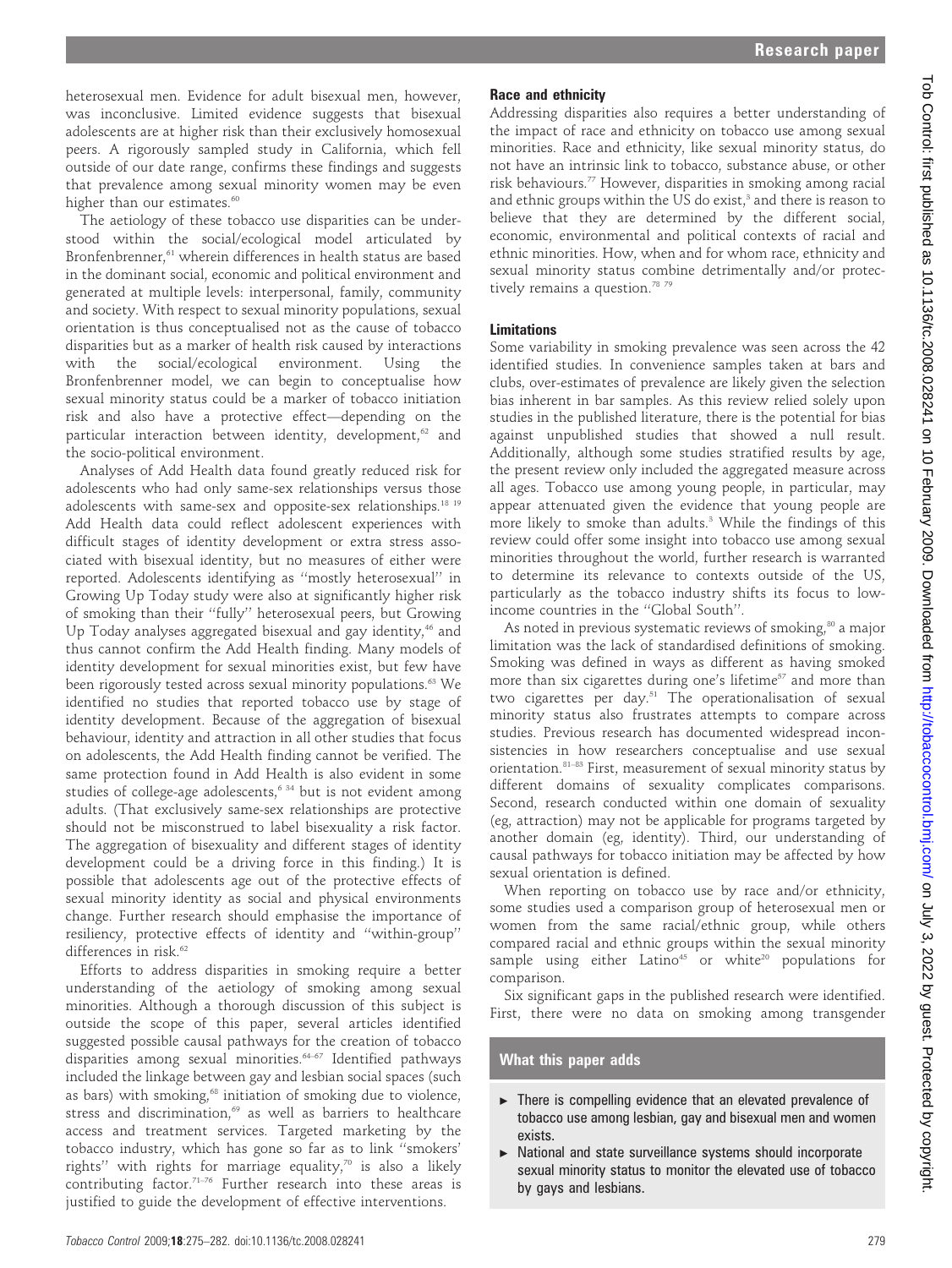heterosexual men. Evidence for adult bisexual men, however, was inconclusive. Limited evidence suggests that bisexual adolescents are at higher risk than their exclusively homosexual peers. A rigorously sampled study in California, which fell outside of our date range, confirms these findings and suggests that prevalence among sexual minority women may be even higher than our estimates.<sup>60</sup>

The aetiology of these tobacco use disparities can be understood within the social/ecological model articulated by Bronfenbrenner,<sup>61</sup> wherein differences in health status are based in the dominant social, economic and political environment and generated at multiple levels: interpersonal, family, community and society. With respect to sexual minority populations, sexual orientation is thus conceptualised not as the cause of tobacco disparities but as a marker of health risk caused by interactions with the social/ecological environment. Using the Bronfenbrenner model, we can begin to conceptualise how sexual minority status could be a marker of tobacco initiation risk and also have a protective effect—depending on the particular interaction between identity, development,<sup>62</sup> and the socio-political environment.

Analyses of Add Health data found greatly reduced risk for adolescents who had only same-sex relationships versus those adolescents with same-sex and opposite-sex relationships.18 19 Add Health data could reflect adolescent experiences with difficult stages of identity development or extra stress associated with bisexual identity, but no measures of either were reported. Adolescents identifying as ''mostly heterosexual'' in Growing Up Today study were also at significantly higher risk of smoking than their ''fully'' heterosexual peers, but Growing Up Today analyses aggregated bisexual and gay identity,<sup>46</sup> and thus cannot confirm the Add Health finding. Many models of identity development for sexual minorities exist, but few have been rigorously tested across sexual minority populations.<sup>63</sup> We identified no studies that reported tobacco use by stage of identity development. Because of the aggregation of bisexual behaviour, identity and attraction in all other studies that focus on adolescents, the Add Health finding cannot be verified. The same protection found in Add Health is also evident in some studies of college-age adolescents,<sup>6 34</sup> but is not evident among adults. (That exclusively same-sex relationships are protective should not be misconstrued to label bisexuality a risk factor. The aggregation of bisexuality and different stages of identity development could be a driving force in this finding.) It is possible that adolescents age out of the protective effects of sexual minority identity as social and physical environments change. Further research should emphasise the importance of resiliency, protective effects of identity and ''within-group'' differences in risk.<sup>62</sup>

Efforts to address disparities in smoking require a better understanding of the aetiology of smoking among sexual minorities. Although a thorough discussion of this subject is outside the scope of this paper, several articles identified suggested possible causal pathways for the creation of tobacco disparities among sexual minorities.<sup>64-67</sup> Identified pathways included the linkage between gay and lesbian social spaces (such as bars) with smoking, $68$  initiation of smoking due to violence, stress and discrimination,<sup>69</sup> as well as barriers to healthcare access and treatment services. Targeted marketing by the tobacco industry, which has gone so far as to link ''smokers' rights" with rights for marriage equality,<sup>70</sup> is also a likely contributing factor.<sup>71-76</sup> Further research into these areas is justified to guide the development of effective interventions.

Addressing disparities also requires a better understanding of the impact of race and ethnicity on tobacco use among sexual minorities. Race and ethnicity, like sexual minority status, do not have an intrinsic link to tobacco, substance abuse, or other risk behaviours.77 However, disparities in smoking among racial and ethnic groups within the US do exist,<sup>3</sup> and there is reason to believe that they are determined by the different social, economic, environmental and political contexts of racial and ethnic minorities. How, when and for whom race, ethnicity and sexual minority status combine detrimentally and/or protectively remains a question.<sup>78</sup> 79

# **Limitations**

Some variability in smoking prevalence was seen across the 42 identified studies. In convenience samples taken at bars and clubs, over-estimates of prevalence are likely given the selection bias inherent in bar samples. As this review relied solely upon studies in the published literature, there is the potential for bias against unpublished studies that showed a null result. Additionally, although some studies stratified results by age, the present review only included the aggregated measure across all ages. Tobacco use among young people, in particular, may appear attenuated given the evidence that young people are more likely to smoke than adults.<sup>3</sup> While the findings of this review could offer some insight into tobacco use among sexual minorities throughout the world, further research is warranted to determine its relevance to contexts outside of the US, particularly as the tobacco industry shifts its focus to lowincome countries in the ''Global South''.

As noted in previous systematic reviews of smoking,<sup>80</sup> a major limitation was the lack of standardised definitions of smoking. Smoking was defined in ways as different as having smoked more than six cigarettes during one's lifetime<sup>57</sup> and more than two cigarettes per day.<sup>51</sup> The operationalisation of sexual minority status also frustrates attempts to compare across studies. Previous research has documented widespread inconsistencies in how researchers conceptualise and use sexual orientation.<sup>81-83</sup> First, measurement of sexual minority status by different domains of sexuality complicates comparisons. Second, research conducted within one domain of sexuality (eg, attraction) may not be applicable for programs targeted by another domain (eg, identity). Third, our understanding of causal pathways for tobacco initiation may be affected by how sexual orientation is defined.

When reporting on tobacco use by race and/or ethnicity, some studies used a comparison group of heterosexual men or women from the same racial/ethnic group, while others compared racial and ethnic groups within the sexual minority sample using either Latino<sup>45</sup> or white<sup>20</sup> populations for comparison.

Six significant gaps in the published research were identified. First, there were no data on smoking among transgender

# What this paper adds

- $\triangleright$  There is compelling evidence that an elevated prevalence of tobacco use among lesbian, gay and bisexual men and women exists.
- $\triangleright$  National and state surveillance systems should incorporate sexual minority status to monitor the elevated use of tobacco by gays and lesbians.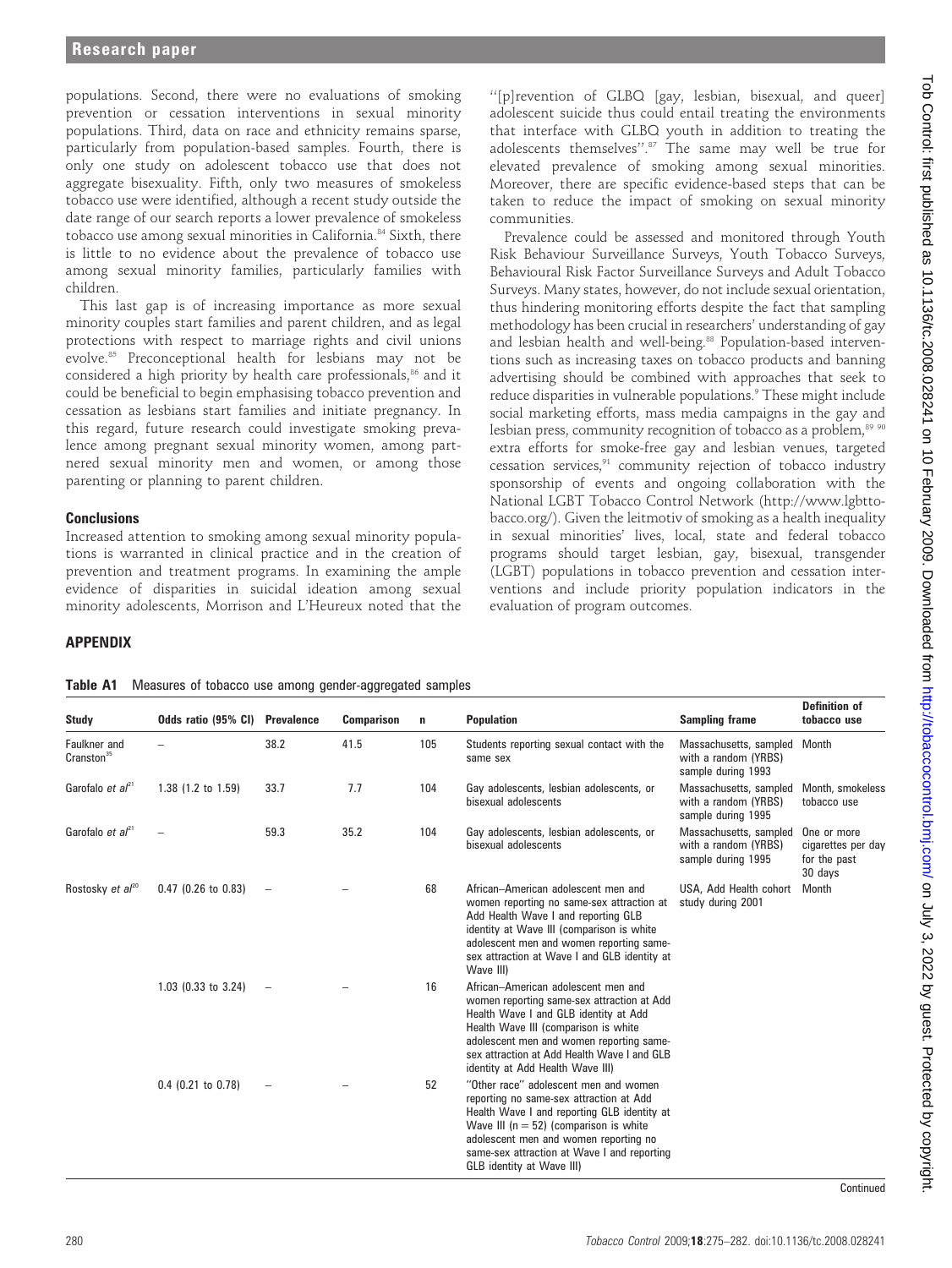populations. Second, there were no evaluations of smoking prevention or cessation interventions in sexual minority populations. Third, data on race and ethnicity remains sparse, particularly from population-based samples. Fourth, there is only one study on adolescent tobacco use that does not aggregate bisexuality. Fifth, only two measures of smokeless tobacco use were identified, although a recent study outside the date range of our search reports a lower prevalence of smokeless tobacco use among sexual minorities in California.<sup>84</sup> Sixth, there is little to no evidence about the prevalence of tobacco use among sexual minority families, particularly families with children.

This last gap is of increasing importance as more sexual minority couples start families and parent children, and as legal protections with respect to marriage rights and civil unions evolve.85 Preconceptional health for lesbians may not be considered a high priority by health care professionals,<sup>86</sup> and it could be beneficial to begin emphasising tobacco prevention and cessation as lesbians start families and initiate pregnancy. In this regard, future research could investigate smoking prevalence among pregnant sexual minority women, among partnered sexual minority men and women, or among those parenting or planning to parent children.

## **Conclusions**

Increased attention to smoking among sexual minority populations is warranted in clinical practice and in the creation of prevention and treatment programs. In examining the ample evidence of disparities in suicidal ideation among sexual minority adolescents, Morrison and L'Heureux noted that the

''[p]revention of GLBQ [gay, lesbian, bisexual, and queer] adolescent suicide thus could entail treating the environments that interface with GLBQ youth in addition to treating the adolescents themselves''.87 The same may well be true for elevated prevalence of smoking among sexual minorities. Moreover, there are specific evidence-based steps that can be taken to reduce the impact of smoking on sexual minority communities.

Prevalence could be assessed and monitored through Youth Risk Behaviour Surveillance Surveys, Youth Tobacco Surveys, Behavioural Risk Factor Surveillance Surveys and Adult Tobacco Surveys. Many states, however, do not include sexual orientation, thus hindering monitoring efforts despite the fact that sampling methodology has been crucial in researchers' understanding of gay and lesbian health and well-being.<sup>88</sup> Population-based interventions such as increasing taxes on tobacco products and banning advertising should be combined with approaches that seek to reduce disparities in vulnerable populations.<sup>9</sup> These might include social marketing efforts, mass media campaigns in the gay and lesbian press, community recognition of tobacco as a problem,<sup>89 90</sup> extra efforts for smoke-free gay and lesbian venues, targeted cessation services, $91$  community rejection of tobacco industry sponsorship of events and ongoing collaboration with the National LGBT Tobacco Control Network (http://www.lgbttobacco.org/). Given the leitmotiv of smoking as a health inequality in sexual minorities' lives, local, state and federal tobacco programs should target lesbian, gay, bisexual, transgender (LGBT) populations in tobacco prevention and cessation interventions and include priority population indicators in the evaluation of program outcomes.

#### APPENDIX

Table A1 Measures of tobacco use among gender-aggregated samples

| <b>Study</b>                           | Odds ratio (95% CI)   | <b>Prevalence</b> | <b>Comparison</b> | n   | <b>Population</b>                                                                                                                                                                                                                                                                                         | <b>Sampling frame</b>                                                | <b>Definition of</b><br>tobacco use                          |
|----------------------------------------|-----------------------|-------------------|-------------------|-----|-----------------------------------------------------------------------------------------------------------------------------------------------------------------------------------------------------------------------------------------------------------------------------------------------------------|----------------------------------------------------------------------|--------------------------------------------------------------|
| Faulkner and<br>Cranston <sup>35</sup> |                       | 38.2              | 41.5              | 105 | Students reporting sexual contact with the<br>same sex                                                                                                                                                                                                                                                    | Massachusetts, sampled<br>with a random (YRBS)<br>sample during 1993 | Month                                                        |
| Garofalo <i>et al</i> <sup>21</sup>    | $1.38$ (1.2 to 1.59)  | 33.7              | 7.7               | 104 | Gay adolescents, lesbian adolescents, or<br>bisexual adolescents                                                                                                                                                                                                                                          | Massachusetts, sampled<br>with a random (YRBS)<br>sample during 1995 | Month, smokeless<br>tobacco use                              |
| Garofalo et $al^{21}$                  |                       | 59.3              | 35.2              | 104 | Gay adolescents, lesbian adolescents, or<br>bisexual adolescents                                                                                                                                                                                                                                          | Massachusetts, sampled<br>with a random (YRBS)<br>sample during 1995 | One or more<br>cigarettes per day<br>for the past<br>30 days |
| Rostosky et $al^{20}$                  | $0.47$ (0.26 to 0.83) |                   |                   | 68  | African-American adolescent men and<br>women reporting no same-sex attraction at<br>Add Health Wave I and reporting GLB<br>identity at Wave III (comparison is white<br>adolescent men and women reporting same-<br>sex attraction at Wave I and GLB identity at<br>Wave III)                             | USA, Add Health cohort<br>study during 2001                          | <b>Month</b>                                                 |
|                                        | 1.03 (0.33 to 3.24)   |                   |                   | 16  | African-American adolescent men and<br>women reporting same-sex attraction at Add<br>Health Wave I and GLB identity at Add<br>Health Wave III (comparison is white<br>adolescent men and women reporting same-<br>sex attraction at Add Health Wave I and GLB<br>identity at Add Health Wave III)         |                                                                      |                                                              |
|                                        | $0.4$ (0.21 to 0.78)  |                   |                   | 52  | "Other race" adolescent men and women<br>reporting no same-sex attraction at Add<br>Health Wave I and reporting GLB identity at<br>Wave III ( $n = 52$ ) (comparison is white<br>adolescent men and women reporting no<br>same-sex attraction at Wave I and reporting<br><b>GLB</b> identity at Wave III) |                                                                      |                                                              |

**Continued**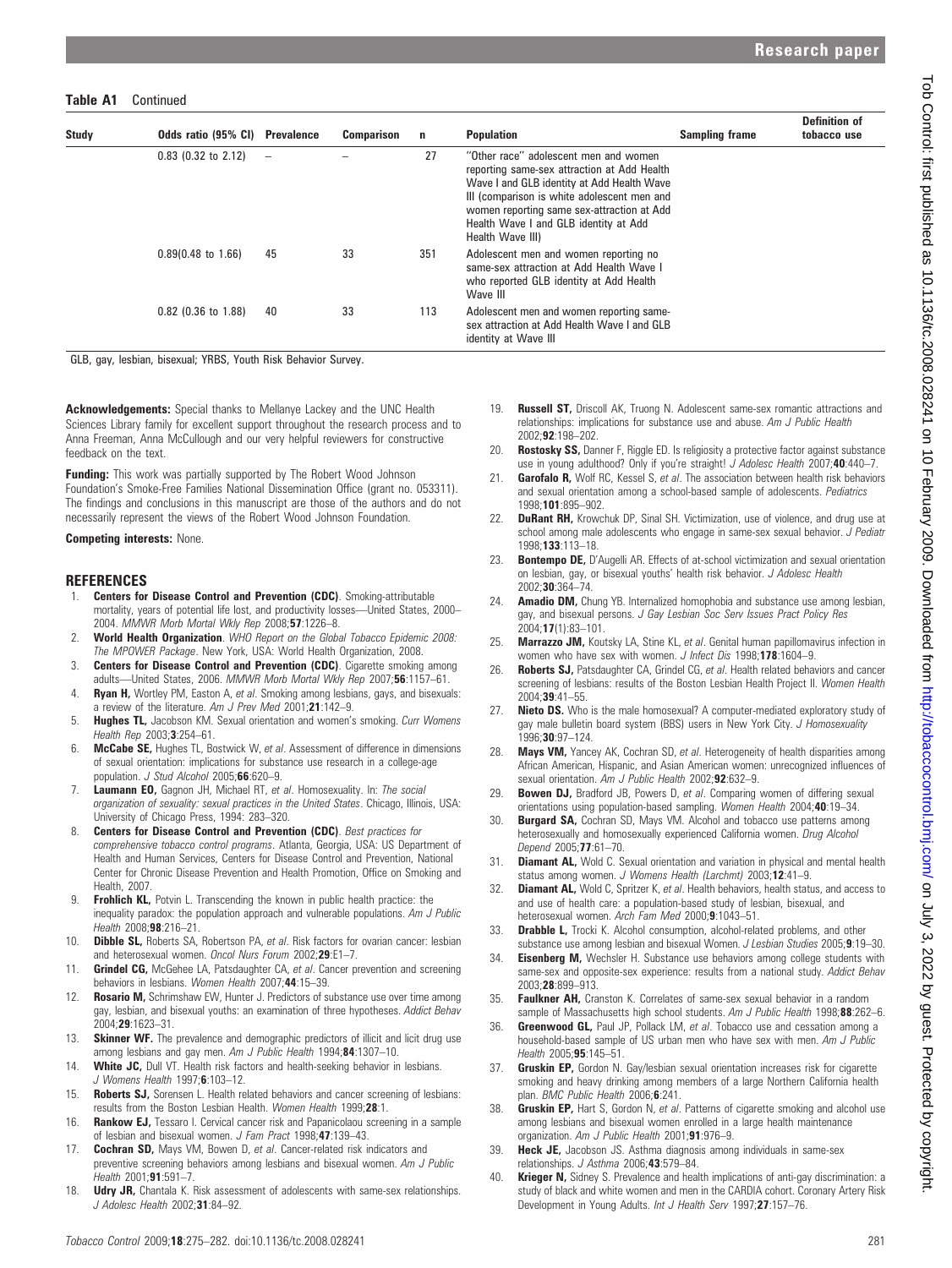#### Table A1 Continued

| <b>Study</b> | Odds ratio (95% CI) Prevalence |                          | <b>Comparison</b> | n   | <b>Population</b>                                                                                                                                                                                                                                                                            | <b>Sampling frame</b> | <b>Definition of</b><br>tobacco use |
|--------------|--------------------------------|--------------------------|-------------------|-----|----------------------------------------------------------------------------------------------------------------------------------------------------------------------------------------------------------------------------------------------------------------------------------------------|-----------------------|-------------------------------------|
|              | $0.83$ (0.32 to 2.12)          | $\overline{\phantom{m}}$ |                   | 27  | "Other race" adolescent men and women<br>reporting same-sex attraction at Add Health<br>Wave I and GLB identity at Add Health Wave<br>III (comparison is white adolescent men and<br>women reporting same sex-attraction at Add<br>Health Wave I and GLB identity at Add<br>Health Wave III) |                       |                                     |
|              | $0.89(0.48 \text{ to } 1.66)$  | 45                       | 33                | 351 | Adolescent men and women reporting no<br>same-sex attraction at Add Health Wave I<br>who reported GLB identity at Add Health<br>Wave III                                                                                                                                                     |                       |                                     |
|              | $0.82$ (0.36 to 1.88)          | 40                       | 33                | 113 | Adolescent men and women reporting same-<br>sex attraction at Add Health Wave I and GLB<br>identity at Wave III                                                                                                                                                                              |                       |                                     |

GLB, gay, lesbian, bisexual; YRBS, Youth Risk Behavior Survey.

Acknowledgements: Special thanks to Mellanye Lackey and the UNC Health Sciences Library family for excellent support throughout the research process and to Anna Freeman, Anna McCullough and our very helpful reviewers for constructive feedback on the text.

**Funding:** This work was partially supported by The Robert Wood Johnson Foundation's Smoke-Free Families National Dissemination Office (grant no. 053311). The findings and conclusions in this manuscript are those of the authors and do not necessarily represent the views of the Robert Wood Johnson Foundation.

#### Competing interests: None.

#### **REFERENCES**

- 1. **Centers for Disease Control and Prevention (CDC)**. Smoking-attributable mortality, years of potential life lost, and productivity losses—United States, 2000– 2004. MMWR Morb Mortal Wkly Rep 2008;57:1226–8.
- 2. World Health Organization. WHO Report on the Global Tobacco Epidemic 2008: The MPOWER Package. New York, USA: World Health Organization, 2008.
- 3. **Centers for Disease Control and Prevention (CDC)**. Cigarette smoking among adults—United States, 2006. MMWR Morb Mortal Wkly Rep 2007;56:1157–61.
- 4. Ryan H, Wortley PM, Easton A, et al. Smoking among lesbians, gays, and bisexuals: a review of the literature. Am J Prev Med 2001;21:142-9.
- 5. Hughes TL, Jacobson KM. Sexual orientation and women's smoking. Curr Womens Health Rep 2003:3:254-61.
- 6. McCabe SE, Hughes TL, Bostwick W, et al. Assessment of difference in dimensions of sexual orientation: implications for substance use research in a college-age population. J Stud Alcohol 2005;66:620-9.
- 7. Laumann EO, Gagnon JH, Michael RT, et al. Homosexuality. In: The social organization of sexuality: sexual practices in the United States. Chicago, Illinois, USA: University of Chicago Press, 1994: 283–320.
- 8. Centers for Disease Control and Prevention (CDC). Best practices for comprehensive tobacco control programs. Atlanta, Georgia, USA: US Department of Health and Human Services, Centers for Disease Control and Prevention, National Center for Chronic Disease Prevention and Health Promotion, Office on Smoking and Health, 2007.
- 9. Frohlich KL, Potvin L. Transcending the known in public health practice: the inequality paradox: the population approach and vulnerable populations. Am J Public  $He$ alth 2008; $98.216 - 21$ .
- 10. **Dibble SL,** Roberts SA, Robertson PA, et al. Risk factors for ovarian cancer: lesbian and heterosexual women. Oncol Nurs Forum 2002;29:E1–7.
- 11. Grindel CG, McGehee LA, Patsdaughter CA, et al. Cancer prevention and screening behaviors in lesbians. Women Health 2007;44:15-39.
- 12. Rosario M, Schrimshaw EW, Hunter J. Predictors of substance use over time among gay, lesbian, and bisexual youths: an examination of three hypotheses. Addict Behav 2004;29:1623–31.
- 13. Skinner WF. The prevalence and demographic predictors of illicit and licit drug use among lesbians and gay men. Am J Public Health 1994;84:1307-10.
- 14. White JC, Dull VT. Health risk factors and health-seeking behavior in lesbians. J Womens Health 1997;6:103–12.
- 15. Roberts SJ, Sorensen L. Health related behaviors and cancer screening of lesbians: results from the Boston Lesbian Health. Women Health 1999;28:1.
- 16. Rankow EJ, Tessaro I. Cervical cancer risk and Papanicolaou screening in a sample of lesbian and bisexual women. J Fam Pract 1998;47:139-43.
- 17. Cochran SD, Mays VM, Bowen D, et al. Cancer-related risk indicators and preventive screening behaviors among lesbians and bisexual women. Am J Public  $Health 2001:91:591-7$
- 18. **Udry JR,** Chantala K. Risk assessment of adolescents with same-sex relationships. J Adolesc Health 2002;31:84-92.
- 19. **Russell ST,** Driscoll AK, Truong N. Adolescent same-sex romantic attractions and relationships: implications for substance use and abuse. Am J Public Health 2002;92:198–202.
- 20. Rostosky SS, Danner F, Riggle ED. Is religiosity a protective factor against substance use in young adulthood? Only if you're straight! J Adolesc Health 2007;40:440-7.
- **Garofalo R,** Wolf RC, Kessel S, et al. The association between health risk behaviors and sexual orientation among a school-based sample of adolescents. Pediatrics 1998;101:895–902.
- 22. **DuRant RH,** Krowchuk DP, Sinal SH. Victimization, use of violence, and drug use at school among male adolescents who engage in same-sex sexual behavior. J Pediatr 1998;133:113–18.
- 23. Bontempo DE, D'Augelli AR. Effects of at-school victimization and sexual orientation on lesbian, gay, or bisexual youths' health risk behavior. J Adolesc Health 2002;30:364–74.
- 24. Amadio DM, Chung YB. Internalized homophobia and substance use among lesbian, gay, and bisexual persons. J Gay Lesbian Soc Serv Issues Pract Policy Res 2004;17(1):83–101.
- 25. Marrazzo JM, Koutsky LA, Stine KL, et al. Genital human papillomavirus infection in women who have sex with women. J Infect Dis 1998;178:1604-9.
- 26. Roberts SJ, Patsdaughter CA, Grindel CG, et al. Health related behaviors and cancer screening of lesbians: results of the Boston Lesbian Health Project II. Women Health 2004;39:41–55.
- 27. Nieto DS. Who is the male homosexual? A computer-mediated exploratory study of gay male bulletin board system (BBS) users in New York City. J Homosexuality 1996;30:97–124.
- 28. Mays VM, Yancey AK, Cochran SD, et al. Heterogeneity of health disparities among African American, Hispanic, and Asian American women: unrecognized influences of sexual orientation. Am J Public Health 2002;92:632-9.
- 29. Bowen DJ, Bradford JB, Powers D, et al. Comparing women of differing sexual orientations using population-based sampling. Women Health 2004;40:19–34.
- 30. **Burgard SA, Cochran SD, Mays VM. Alcohol and tobacco use patterns among** heterosexually and homosexually experienced California women. Drug Alcohol Depend 2005;77:61–70.
- 31. **Diamant AL,** Wold C. Sexual orientation and variation in physical and mental health status among women. J Womens Health (Larchmt) 2003;12:41-9.
- 32. Diamant AL, Wold C, Spritzer K, et al. Health behaviors, health status, and access to and use of health care: a population-based study of lesbian, bisexual, and heterosexual women. Arch Fam Med 2000;9:1043–51.
- 33. **Drabble L,** Trocki K. Alcohol consumption, alcohol-related problems, and other substance use among lesbian and bisexual Women. J Lesbian Studies 2005;9:19-30.
- 34. Eisenberg M, Wechsler H. Substance use behaviors among college students with same-sex and opposite-sex experience: results from a national study. Addict Behav 2003;28:899–913.
- 35. Faulkner AH, Cranston K. Correlates of same-sex sexual behavior in a random sample of Massachusetts high school students. Am J Public Health 1998;88:262-6.
- 36. Greenwood GL, Paul JP, Pollack LM, et al. Tobacco use and cessation among a household-based sample of US urban men who have sex with men. Am J Public Health 2005:**95**:145-51
- 37. Gruskin EP, Gordon N. Gay/lesbian sexual orientation increases risk for cigarette smoking and heavy drinking among members of a large Northern California health plan. BMC Public Health 2006;6:241.
- 38. Gruskin EP, Hart S, Gordon N, et al. Patterns of cigarette smoking and alcohol use among lesbians and bisexual women enrolled in a large health maintenance organization. Am J Public Health 2001;91:976-9.
- 39. Heck JE, Jacobson JS. Asthma diagnosis among individuals in same-sex relationships. J Asthma 2006;43:579–84.
- 40. **Krieger N,** Sidney S. Prevalence and health implications of anti-gay discrimination: a study of black and white women and men in the CARDIA cohort. Coronary Artery Risk Development in Young Adults. Int J Health Serv 1997;27:157–76.